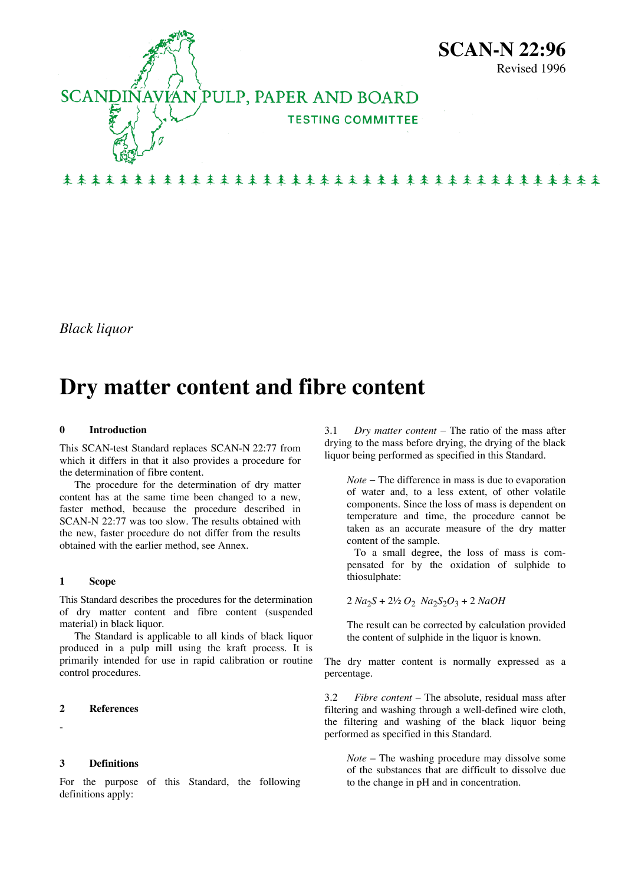

*Black liquor*

# **Dry matter content and fibre content**

## **0 Introduction**

This SCAN-test Standard replaces SCAN-N 22:77 from which it differs in that it also provides a procedure for the determination of fibre content.

 The procedure for the determination of dry matter content has at the same time been changed to a new, faster method, because the procedure described in SCAN-N 22:77 was too slow. The results obtained with the new, faster procedure do not differ from the results obtained with the earlier method, see Annex.

#### **1 Scope**

This Standard describes the procedures for the determination of dry matter content and fibre content (suspended material) in black liquor.

 The Standard is applicable to all kinds of black liquor produced in a pulp mill using the kraft process. It is primarily intended for use in rapid calibration or routine control procedures.

#### **2 References**

-

#### **3 Definitions**

For the purpose of this Standard, the following definitions apply:

3.1 *Dry matter content* − The ratio of the mass after drying to the mass before drying, the drying of the black liquor being performed as specified in this Standard.

*Note* − The difference in mass is due to evaporation of water and, to a less extent, of other volatile components. Since the loss of mass is dependent on temperature and time, the procedure cannot be taken as an accurate measure of the dry matter content of the sample.

 To a small degree, the loss of mass is compensated for by the oxidation of sulphide to thiosulphate:

 $2 Na<sub>2</sub>S + 2\frac{1}{2} O_2 Na<sub>2</sub>S<sub>2</sub>O_3 + 2 NaOH$ 

The result can be corrected by calculation provided the content of sulphide in the liquor is known.

The dry matter content is normally expressed as a percentage.

3.2 *Fibre content* – The absolute, residual mass after filtering and washing through a well-defined wire cloth, the filtering and washing of the black liquor being performed as specified in this Standard.

*Note* – The washing procedure may dissolve some of the substances that are difficult to dissolve due to the change in pH and in concentration.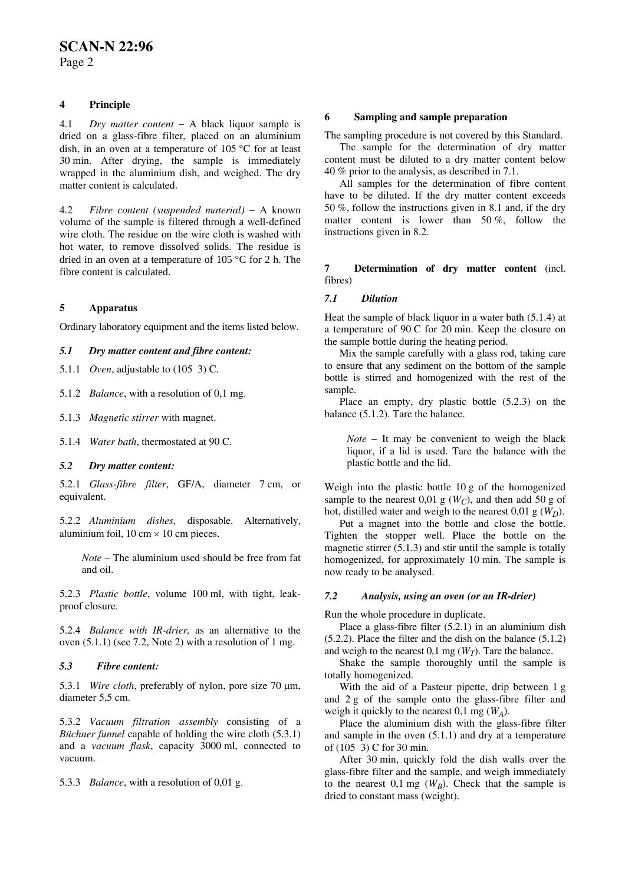## **4 Principle**

4.1 *Dry matter content* − A black liquor sample is dried on a glass-fibre filter, placed on an aluminium dish, in an oven at a temperature of 105 °C for at least 30 min. After drying, the sample is immediately wrapped in the aluminium dish, and weighed. The dry matter content is calculated.

4.2 *Fibre content (suspended material)* − A known volume of the sample is filtered through a well-defined wire cloth. The residue on the wire cloth is washed with hot water, to remove dissolved solids. The residue is dried in an oven at a temperature of 105 °C for 2 h. The fibre content is calculated.

## **5 Apparatus**

Ordinary laboratory equipment and the items listed below.

## *5.1 Dry matter content and fibre content:*

5.1.1 *Oven*, adjustable to (105 3) C.

5.1.2 *Balance*, with a resolution of 0,1 mg.

5.1.3 *Magnetic stirrer* with magnet.

5.1.4 *Water bath*, thermostated at 90 C.

#### *5.2 Dry matter content:*

5.2.1 *Glass-fibre filter*, GF/A, diameter 7 cm, or equivalent.

5.2.2 *Aluminium dishes,* disposable. Alternatively, aluminium foil,  $10 \text{ cm} \times 10 \text{ cm}$  pieces.

*Note* – The aluminium used should be free from fat and oil.

5.2.3 *Plastic bottle*, volume 100 ml, with tight, leakproof closure.

5.2.4 *Balance with IR-drier,* as an alternative to the oven  $(5.1.1)$  (see 7.2, Note 2) with a resolution of 1 mg.

## *5.3 Fibre content:*

5.3.1 *Wire cloth*, preferably of nylon, pore size 70 μm, diameter 5,5 cm.

5.3.2 *Vacuum filtration assembly* consisting of a *Büchner funnel* capable of holding the wire cloth (5.3.1) and a *vacuum flask*, capacity 3000 ml, connected to vacuum.

5.3.3 *Balance*, with a resolution of 0,01 g.

#### **6 Sampling and sample preparation**

The sampling procedure is not covered by this Standard.

 The sample for the determination of dry matter content must be diluted to a dry matter content below 40 % prior to the analysis, as described in 7.1.

 All samples for the determination of fibre content have to be diluted. If the dry matter content exceeds 50 %, follow the instructions given in 8.1 and, if the dry matter content is lower than 50 %, follow the instructions given in 8.2.

## **7 Determination of dry matter content** (incl. fibres)

#### *7.1 Dilution*

Heat the sample of black liquor in a water bath (5.1.4) at a temperature of 90 C for 20 min. Keep the closure on the sample bottle during the heating period.

 Mix the sample carefully with a glass rod, taking care to ensure that any sediment on the bottom of the sample bottle is stirred and homogenized with the rest of the sample.

 Place an empty, dry plastic bottle (5.2.3) on the balance (5.1.2). Tare the balance.

*Note* − It may be convenient to weigh the black liquor, if a lid is used. Tare the balance with the plastic bottle and the lid.

Weigh into the plastic bottle 10 g of the homogenized sample to the nearest  $0.01 \text{ g}$  (*W<sub>C</sub>*), and then add 50 g of hot, distilled water and weigh to the nearest  $0.01 \text{ g} (W_D)$ .

 Put a magnet into the bottle and close the bottle. Tighten the stopper well. Place the bottle on the magnetic stirrer (5.1.3) and stir until the sample is totally homogenized, for approximately 10 min. The sample is now ready to be analysed.

## *7.2 Analysis, using an oven (or an IR-drier)*

Run the whole procedure in duplicate.

 Place a glass-fibre filter (5.2.1) in an aluminium dish (5.2.2). Place the filter and the dish on the balance (5.1.2) and weigh to the nearest  $0.1 \text{ mg } (W_T)$ . Tare the balance.

 Shake the sample thoroughly until the sample is totally homogenized.

 With the aid of a Pasteur pipette, drip between 1 g and 2 g of the sample onto the glass-fibre filter and weigh it quickly to the nearest  $0,1$  mg  $(W_A)$ .

 Place the aluminium dish with the glass-fibre filter and sample in the oven (5.1.1) and dry at a temperature of (105 3) C for 30 min.

 After 30 min, quickly fold the dish walls over the glass-fibre filter and the sample, and weigh immediately to the nearest  $0,1 \text{ mg } (W_B)$ . Check that the sample is dried to constant mass (weight).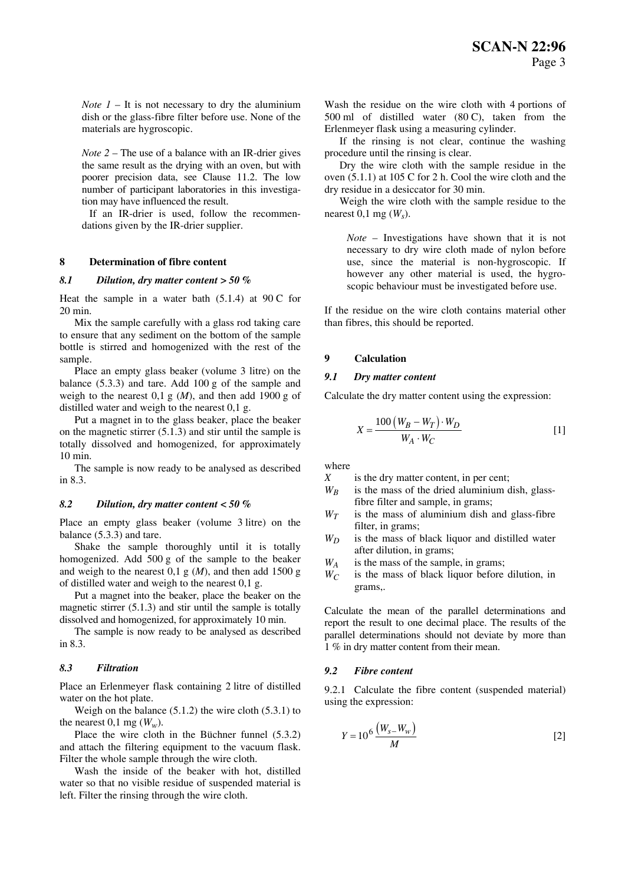*Note 1* – It is not necessary to dry the aluminium dish or the glass-fibre filter before use. None of the materials are hygroscopic.

*Note 2* – The use of a balance with an IR-drier gives the same result as the drying with an oven, but with poorer precision data, see Clause 11.2. The low number of participant laboratories in this investigation may have influenced the result.

 If an IR-drier is used, follow the recommendations given by the IR-drier supplier.

#### **8 Determination of fibre content**

#### *8.1 Dilution, dry matter content > 50 %*

Heat the sample in a water bath  $(5.1.4)$  at  $90 \text{ C}$  for 20 min.

 Mix the sample carefully with a glass rod taking care to ensure that any sediment on the bottom of the sample bottle is stirred and homogenized with the rest of the sample.

 Place an empty glass beaker (volume 3 litre) on the balance (5.3.3) and tare. Add 100 g of the sample and weigh to the nearest 0,1 g (*M*), and then add 1900 g of distilled water and weigh to the nearest 0,1 g.

 Put a magnet in to the glass beaker, place the beaker on the magnetic stirrer (5.1.3) and stir until the sample is totally dissolved and homogenized, for approximately 10 min.

 The sample is now ready to be analysed as described in 8.3.

#### *8.2 Dilution, dry matter content < 50 %*

Place an empty glass beaker (volume 3 litre) on the balance (5.3.3) and tare.

 Shake the sample thoroughly until it is totally homogenized. Add 500 g of the sample to the beaker and weigh to the nearest  $0.1 \text{ g } (M)$ , and then add 1500 g of distilled water and weigh to the nearest 0,1 g.

 Put a magnet into the beaker, place the beaker on the magnetic stirrer (5.1.3) and stir until the sample is totally dissolved and homogenized, for approximately 10 min.

 The sample is now ready to be analysed as described in 8.3.

#### *8.3 Filtration*

Place an Erlenmeyer flask containing 2 litre of distilled water on the hot plate.

Weigh on the balance  $(5.1.2)$  the wire cloth  $(5.3.1)$  to the nearest  $0.1$  mg  $(W_w)$ .

 Place the wire cloth in the Büchner funnel (5.3.2) and attach the filtering equipment to the vacuum flask. Filter the whole sample through the wire cloth.

 Wash the inside of the beaker with hot, distilled water so that no visible residue of suspended material is left. Filter the rinsing through the wire cloth.

Wash the residue on the wire cloth with 4 portions of 500 ml of distilled water (80 C), taken from the Erlenmeyer flask using a measuring cylinder.

 If the rinsing is not clear, continue the washing procedure until the rinsing is clear.

 Dry the wire cloth with the sample residue in the oven (5.1.1) at 105 C for 2 h. Cool the wire cloth and the dry residue in a desiccator for 30 min.

 Weigh the wire cloth with the sample residue to the nearest  $0.1$  mg  $(W_s)$ .

*Note* – Investigations have shown that it is not necessary to dry wire cloth made of nylon before use, since the material is non-hygroscopic. If however any other material is used, the hygroscopic behaviour must be investigated before use.

If the residue on the wire cloth contains material other than fibres, this should be reported.

#### **9 Calculation**

#### *9.1 Dry matter content*

Calculate the dry matter content using the expression:

$$
X = \frac{100\left(W_B - W_T\right) \cdot W_D}{W_A \cdot W_C} \tag{1}
$$

where

*X* is the dry matter content, in per cent;

- $W_B$  is the mass of the dried aluminium dish, glassfibre filter and sample, in grams;
- $W_T$  is the mass of aluminium dish and glass-fibre filter, in grams;
- $W_D$  is the mass of black liquor and distilled water after dilution, in grams;
- *WA* is the mass of the sample, in grams;
- $W_C$  is the mass of black liquor before dilution, in grams,.

Calculate the mean of the parallel determinations and report the result to one decimal place. The results of the parallel determinations should not deviate by more than 1 % in dry matter content from their mean.

#### *9.2 Fibre content*

9.2.1 Calculate the fibre content (suspended material) using the expression:

$$
Y = 10^6 \frac{(W_{s} - W_w)}{M} \tag{2}
$$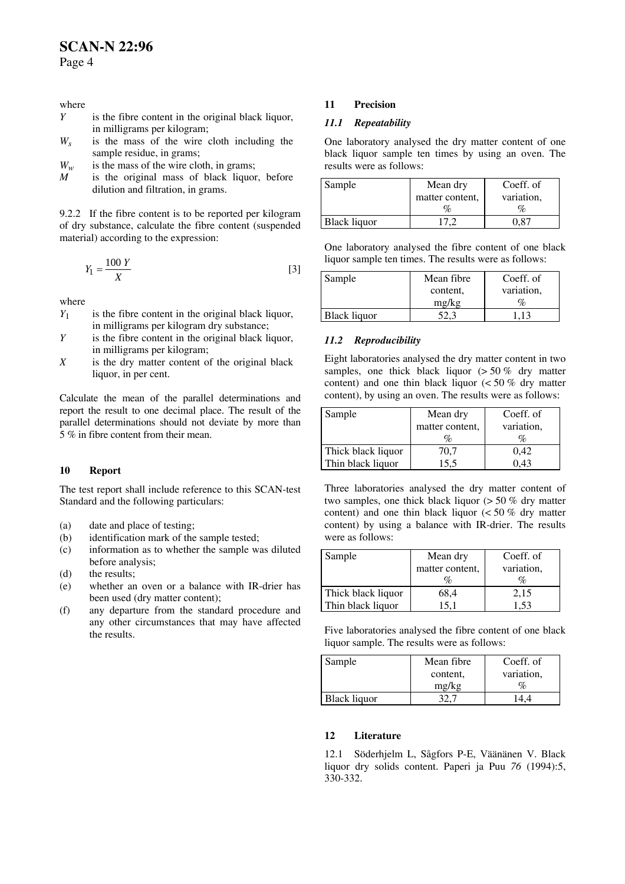## **SCAN-N 22:96**

Page 4

where

- *Y* is the fibre content in the original black liquor, in milligrams per kilogram;
- *Ws* is the mass of the wire cloth including the sample residue, in grams;
- $W_w$  is the mass of the wire cloth, in grams;<br>*M* is the original mass of black liquor
- is the original mass of black liquor, before dilution and filtration, in grams.

9.2.2 If the fibre content is to be reported per kilogram of dry substance, calculate the fibre content (suspended material) according to the expression:

$$
Y_1 = \frac{100 Y}{X}
$$
 [3]

where

- *Y*<sub>1</sub> is the fibre content in the original black liquor, in milligrams per kilogram dry substance;
- *Y* is the fibre content in the original black liquor, in milligrams per kilogram;
- *X* is the dry matter content of the original black liquor, in per cent.

Calculate the mean of the parallel determinations and report the result to one decimal place. The result of the parallel determinations should not deviate by more than 5 % in fibre content from their mean.

## **10 Report**

The test report shall include reference to this SCAN-test Standard and the following particulars:

- (a) date and place of testing;
- (b) identification mark of the sample tested;
- (c) information as to whether the sample was diluted before analysis;
- (d) the results;
- (e) whether an oven or a balance with IR-drier has been used (dry matter content);
- (f) any departure from the standard procedure and any other circumstances that may have affected the results.

## **11 Precision**

## *11.1 Repeatability*

One laboratory analysed the dry matter content of one black liquor sample ten times by using an oven. The results were as follows:

| Sample       | Mean dry<br>matter content. | Coeff. of<br>variation, |
|--------------|-----------------------------|-------------------------|
| Black liquor |                             | $\%$                    |

One laboratory analysed the fibre content of one black liquor sample ten times. The results were as follows:

| Sample       | Mean fibre | Coeff. of  |
|--------------|------------|------------|
|              | content,   | variation, |
|              | mg/kg      | $\%$       |
| Black liquor | 52.3       | l.13       |

## *11.2 Reproducibility*

Eight laboratories analysed the dry matter content in two samples, one thick black liquor  $(> 50\%$  dry matter content) and one thin black liquor  $\ll 50\%$  dry matter content), by using an oven. The results were as follows:

| Sample             | Mean dry<br>matter content, | Coeff. of<br>variation, |
|--------------------|-----------------------------|-------------------------|
|                    |                             | $\%$                    |
| Thick black liquor | 70.7                        | 0,42                    |
| Thin black liquor  | 15.5                        | 0.43                    |

Three laboratories analysed the dry matter content of two samples, one thick black liquor  $(> 50\%$  dry matter content) and one thin black liquor  $\ll 50\%$  dry matter content) by using a balance with IR-drier. The results were as follows:

| <b>Sample</b>      | Mean dry<br>matter content, | Coeff. of<br>variation, |
|--------------------|-----------------------------|-------------------------|
| Thick black liquor | 68,4                        | 2,15                    |
| Thin black liquor  | 15.1                        | 1,53                    |

Five laboratories analysed the fibre content of one black liquor sample. The results were as follows:

| Sample       | Mean fibre | Coeff. of  |
|--------------|------------|------------|
|              | content.   | variation, |
|              | mg/kg      | $\%$       |
| Black liquor |            |            |

#### **12 Literature**

12.1 Söderhjelm L, Sågfors P-E, Väänänen V. Black liquor dry solids content. Paperi ja Puu *76* (1994):5, 330-332.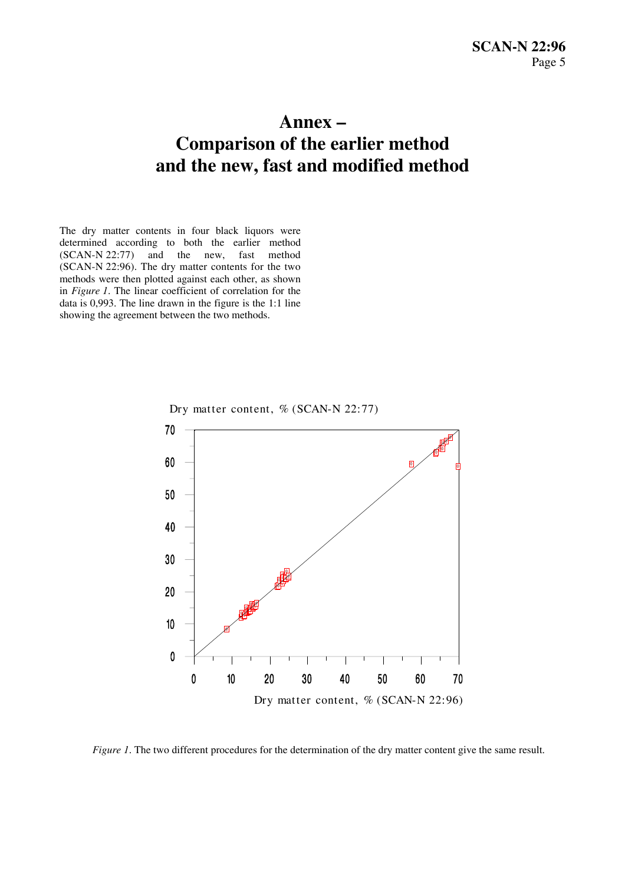## **Annex – Comparison of the earlier method and the new, fast and modified method**

The dry matter contents in four black liquors were determined according to both the earlier method (SCAN-N 22:77) and the new, fast method (SCAN-N 22:96). The dry matter contents for the two methods were then plotted against each other, as shown in *Figure 1*. The linear coefficient of correlation for the data is 0,993. The line drawn in the figure is the 1:1 line showing the agreement between the two methods.



Dry matter content, % (SCAN-N 22:77)

*Figure 1*. The two different procedures for the determination of the dry matter content give the same result.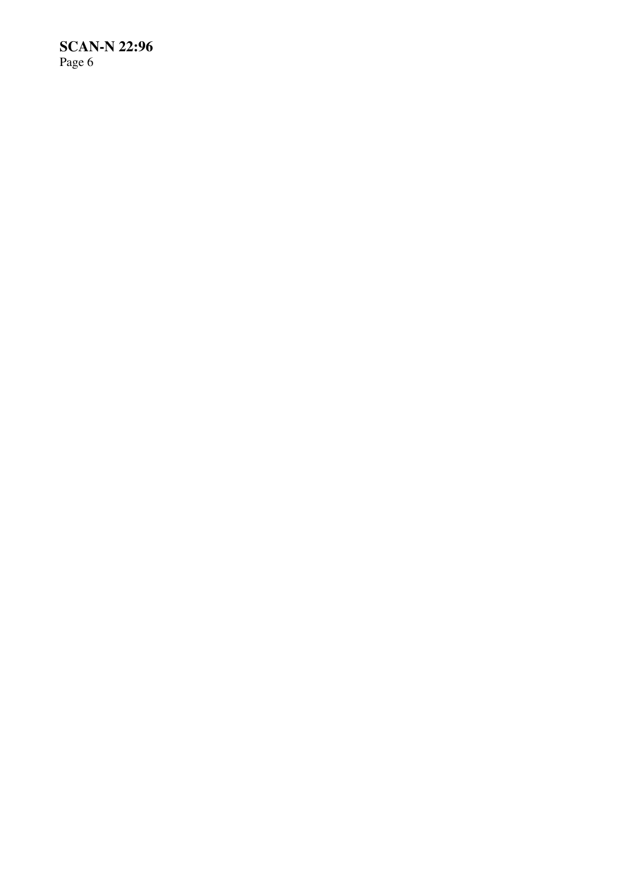**SCAN-N 22:96** Page 6